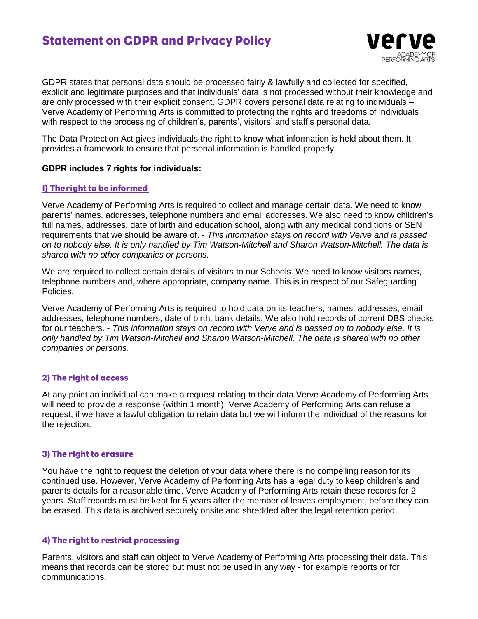# **Statement on GDPR and Privacy Policy**

GDPR states that personal data should be processed fairly & lawfully and collected for specified, explicit and legitimate purposes and that individuals' data is not processed without their knowledge and are only processed with their explicit consent. GDPR covers personal data relating to individuals – Verve Academy of Performing Arts is committed to protecting the rights and freedoms of individuals with respect to the processing of children's, parents', visitors' and staff's personal data.

very

The Data Protection Act gives individuals the right to know what information is held about them. It provides a framework to ensure that personal information is handled properly.

#### **GDPR includes 7 rights for individuals:**

#### 1) The right to be informed

Verve Academy of Performing Arts is required to collect and manage certain data. We need to know parents' names, addresses, telephone numbers and email addresses. We also need to know children's full names, addresses, date of birth and education school, along with any medical conditions or SEN requirements that we should be aware of. - *This information stays on record with Verve and is passed on to nobody else. It is only handled by Tim Watson-Mitchell and Sharon Watson-Mitchell. The data is shared with no other companies or persons.*

We are required to collect certain details of visitors to our Schools. We need to know visitors names, telephone numbers and, where appropriate, company name. This is in respect of our Safeguarding Policies.

Verve Academy of Performing Arts is required to hold data on its teachers; names, addresses, email addresses, telephone numbers, date of birth, bank details. We also hold records of current DBS checks for our teachers. - *This information stays on record with Verve and is passed on to nobody else. It is only handled by Tim Watson-Mitchell and Sharon Watson-Mitchell. The data is shared with no other companies or persons.*

# 2) The right of access

At any point an individual can make a request relating to their data Verve Academy of Performing Arts will need to provide a response (within 1 month). Verve Academy of Performing Arts can refuse a request, if we have a lawful obligation to retain data but we will inform the individual of the reasons for the rejection.

# 3) The right to erasure

You have the right to request the deletion of your data where there is no compelling reason for its continued use. However, Verve Academy of Performing Arts has a legal duty to keep children's and parents details for a reasonable time, Verve Academy of Performing Arts retain these records for 2 years. Staff records must be kept for 5 years after the member of leaves employment, before they can be erased. This data is archived securely onsite and shredded after the legal retention period.

# 4) The right to restrict processing

Parents, visitors and staff can object to Verve Academy of Performing Arts processing their data. This means that records can be stored but must not be used in any way - for example reports or for communications.